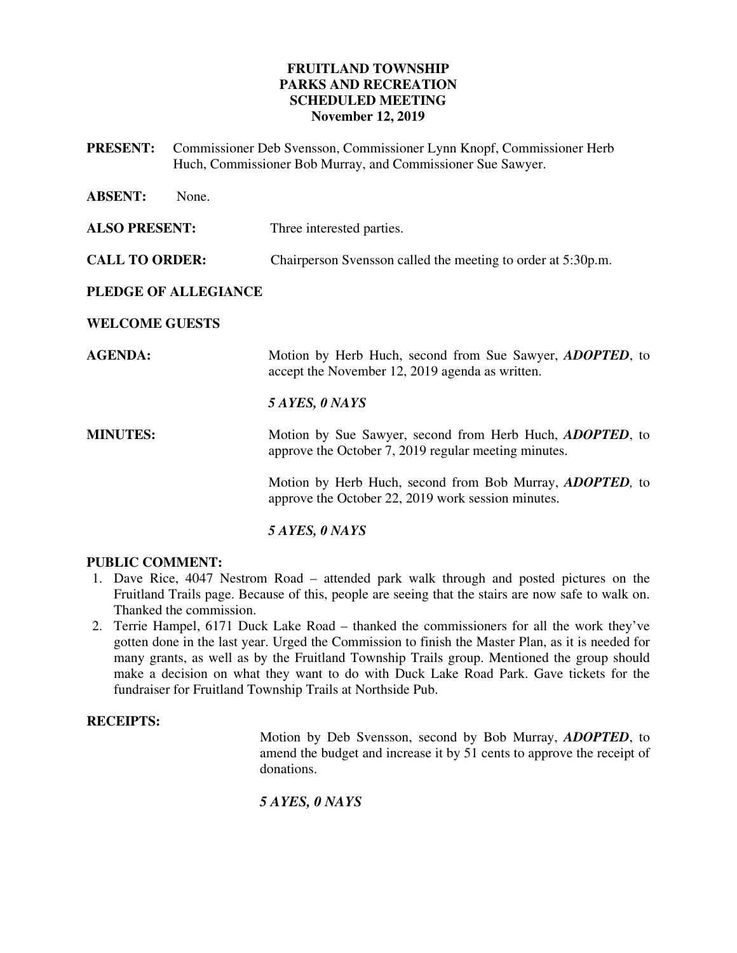## **FRUITLAND TOWNSHIP PARKS AND RECREATION SCHEDULED MEETING November 12, 2019**

**PRESENT:** Commissioner Deb Svensson, Commissioner Lynn Knopf, Commissioner Herb Huch, Commissioner Bob Murray, and Commissioner Sue Sawyer.

| <b>ABSENT:</b><br>None. |                                                                                                                          |
|-------------------------|--------------------------------------------------------------------------------------------------------------------------|
| <b>ALSO PRESENT:</b>    | Three interested parties.                                                                                                |
| <b>CALL TO ORDER:</b>   | Chairperson Svensson called the meeting to order at 5:30p.m.                                                             |
| PLEDGE OF ALLEGIANCE    |                                                                                                                          |
| <b>WELCOME GUESTS</b>   |                                                                                                                          |
| <b>AGENDA:</b>          | Motion by Herb Huch, second from Sue Sawyer, <i>ADOPTED</i> , to<br>accept the November 12, 2019 agenda as written.      |
|                         | 5 AYES, 0 NAYS                                                                                                           |
| <b>MINUTES:</b>         | Motion by Sue Sawyer, second from Herb Huch, <i>ADOPTED</i> , to<br>approve the October 7, 2019 regular meeting minutes. |
|                         | Motion by Herb Huch, second from Bob Murray, <i>ADOPTED</i> , to<br>approve the October 22, 2019 work session minutes.   |
|                         |                                                                                                                          |

## *5 AYES, 0 NAYS*

## **PUBLIC COMMENT:**

- 1. Dave Rice, 4047 Nestrom Road attended park walk through and posted pictures on the Fruitland Trails page. Because of this, people are seeing that the stairs are now safe to walk on. Thanked the commission.
- 2. Terrie Hampel, 6171 Duck Lake Road thanked the commissioners for all the work they've gotten done in the last year. Urged the Commission to finish the Master Plan, as it is needed for many grants, as well as by the Fruitland Township Trails group. Mentioned the group should make a decision on what they want to do with Duck Lake Road Park. Gave tickets for the fundraiser for Fruitland Township Trails at Northside Pub.

#### **RECEIPTS:**

 Motion by Deb Svensson, second by Bob Murray, *ADOPTED*, to amend the budget and increase it by 51 cents to approve the receipt of donations.

## *5 AYES, 0 NAYS*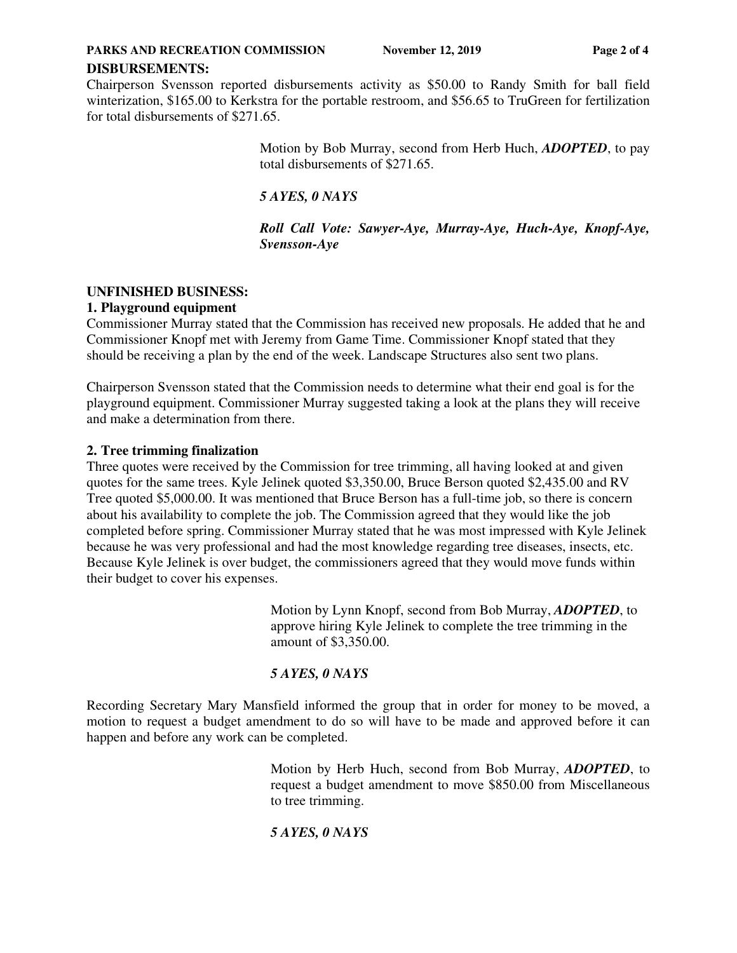## **DISBURSEMENTS:**

Chairperson Svensson reported disbursements activity as \$50.00 to Randy Smith for ball field winterization, \$165.00 to Kerkstra for the portable restroom, and \$56.65 to TruGreen for fertilization for total disbursements of \$271.65.

> Motion by Bob Murray, second from Herb Huch, *ADOPTED*, to pay total disbursements of \$271.65.

*5 AYES, 0 NAYS* 

*Roll Call Vote: Sawyer-Aye, Murray-Aye, Huch-Aye, Knopf-Aye, Svensson-Aye* 

## **UNFINISHED BUSINESS:**

## **1. Playground equipment**

Commissioner Murray stated that the Commission has received new proposals. He added that he and Commissioner Knopf met with Jeremy from Game Time. Commissioner Knopf stated that they should be receiving a plan by the end of the week. Landscape Structures also sent two plans.

Chairperson Svensson stated that the Commission needs to determine what their end goal is for the playground equipment. Commissioner Murray suggested taking a look at the plans they will receive and make a determination from there.

## **2. Tree trimming finalization**

Three quotes were received by the Commission for tree trimming, all having looked at and given quotes for the same trees. Kyle Jelinek quoted \$3,350.00, Bruce Berson quoted \$2,435.00 and RV Tree quoted \$5,000.00. It was mentioned that Bruce Berson has a full-time job, so there is concern about his availability to complete the job. The Commission agreed that they would like the job completed before spring. Commissioner Murray stated that he was most impressed with Kyle Jelinek because he was very professional and had the most knowledge regarding tree diseases, insects, etc. Because Kyle Jelinek is over budget, the commissioners agreed that they would move funds within their budget to cover his expenses.

> Motion by Lynn Knopf, second from Bob Murray, *ADOPTED*, to approve hiring Kyle Jelinek to complete the tree trimming in the amount of \$3,350.00.

# *5 AYES, 0 NAYS*

Recording Secretary Mary Mansfield informed the group that in order for money to be moved, a motion to request a budget amendment to do so will have to be made and approved before it can happen and before any work can be completed.

> Motion by Herb Huch, second from Bob Murray, *ADOPTED*, to request a budget amendment to move \$850.00 from Miscellaneous to tree trimming.

# *5 AYES, 0 NAYS*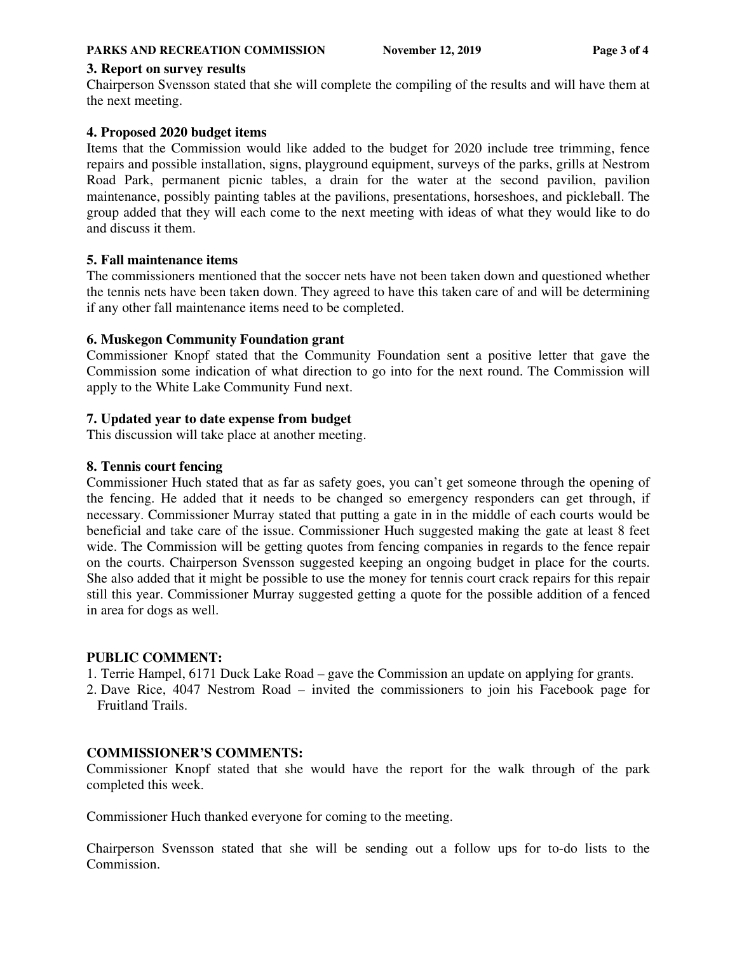### **3. Report on survey results**

Chairperson Svensson stated that she will complete the compiling of the results and will have them at the next meeting.

## **4. Proposed 2020 budget items**

Items that the Commission would like added to the budget for 2020 include tree trimming, fence repairs and possible installation, signs, playground equipment, surveys of the parks, grills at Nestrom Road Park, permanent picnic tables, a drain for the water at the second pavilion, pavilion maintenance, possibly painting tables at the pavilions, presentations, horseshoes, and pickleball. The group added that they will each come to the next meeting with ideas of what they would like to do and discuss it them.

## **5. Fall maintenance items**

The commissioners mentioned that the soccer nets have not been taken down and questioned whether the tennis nets have been taken down. They agreed to have this taken care of and will be determining if any other fall maintenance items need to be completed.

## **6. Muskegon Community Foundation grant**

Commissioner Knopf stated that the Community Foundation sent a positive letter that gave the Commission some indication of what direction to go into for the next round. The Commission will apply to the White Lake Community Fund next.

## **7. Updated year to date expense from budget**

This discussion will take place at another meeting.

## **8. Tennis court fencing**

Commissioner Huch stated that as far as safety goes, you can't get someone through the opening of the fencing. He added that it needs to be changed so emergency responders can get through, if necessary. Commissioner Murray stated that putting a gate in in the middle of each courts would be beneficial and take care of the issue. Commissioner Huch suggested making the gate at least 8 feet wide. The Commission will be getting quotes from fencing companies in regards to the fence repair on the courts. Chairperson Svensson suggested keeping an ongoing budget in place for the courts. She also added that it might be possible to use the money for tennis court crack repairs for this repair still this year. Commissioner Murray suggested getting a quote for the possible addition of a fenced in area for dogs as well.

## **PUBLIC COMMENT:**

1. Terrie Hampel, 6171 Duck Lake Road – gave the Commission an update on applying for grants.

2. Dave Rice, 4047 Nestrom Road – invited the commissioners to join his Facebook page for Fruitland Trails.

## **COMMISSIONER'S COMMENTS:**

Commissioner Knopf stated that she would have the report for the walk through of the park completed this week.

Commissioner Huch thanked everyone for coming to the meeting.

Chairperson Svensson stated that she will be sending out a follow ups for to-do lists to the Commission.